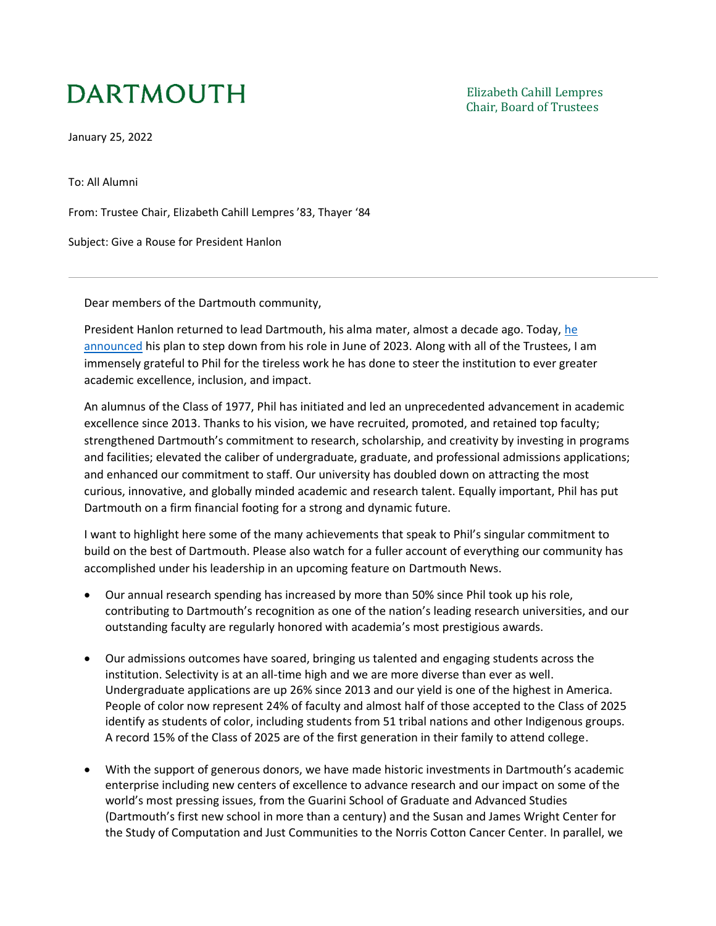## **DARTMOUTH**

January 25, 2022

To: All Alumni

From: Trustee Chair, Elizabeth Cahill Lempres '83, Thayer '84

Subject: Give a Rouse for President Hanlon

Dear members of the Dartmouth community,

President Hanlon returned to lead Dartmouth, his alma mater, almost a decade ago. Today, [he](https://president.dartmouth.edu/news/2022/01/message-dartmouth-community)  [announced](https://president.dartmouth.edu/news/2022/01/message-dartmouth-community) his plan to step down from his role in June of 2023. Along with all of the Trustees, I am immensely grateful to Phil for the tireless work he has done to steer the institution to ever greater academic excellence, inclusion, and impact.

An alumnus of the Class of 1977, Phil has initiated and led an unprecedented advancement in academic excellence since 2013. Thanks to his vision, we have recruited, promoted, and retained top faculty; strengthened Dartmouth's commitment to research, scholarship, and creativity by investing in programs and facilities; elevated the caliber of undergraduate, graduate, and professional admissions applications; and enhanced our commitment to staff. Our university has doubled down on attracting the most curious, innovative, and globally minded academic and research talent. Equally important, Phil has put Dartmouth on a firm financial footing for a strong and dynamic future.

I want to highlight here some of the many achievements that speak to Phil's singular commitment to build on the best of Dartmouth. Please also watch for a fuller account of everything our community has accomplished under his leadership in an upcoming feature on Dartmouth News.

- Our annual research spending has increased by more than 50% since Phil took up his role, contributing to Dartmouth's recognition as one of the nation's leading research universities, and our outstanding faculty are regularly honored with academia's most prestigious awards.
- Our admissions outcomes have soared, bringing us talented and engaging students across the institution. Selectivity is at an all-time high and we are more diverse than ever as well. Undergraduate applications are up 26% since 2013 and our yield is one of the highest in America. People of color now represent 24% of faculty and almost half of those accepted to the Class of 2025 identify as students of color, including students from 51 tribal nations and other Indigenous groups. A record 15% of the Class of 2025 are of the first generation in their family to attend college.
- With the support of generous donors, we have made historic investments in Dartmouth's academic enterprise including new centers of excellence to advance research and our impact on some of the world's most pressing issues, from the Guarini School of Graduate and Advanced Studies (Dartmouth's first new school in more than a century) and the Susan and James Wright Center for the Study of Computation and Just Communities to the Norris Cotton Cancer Center. In parallel, we